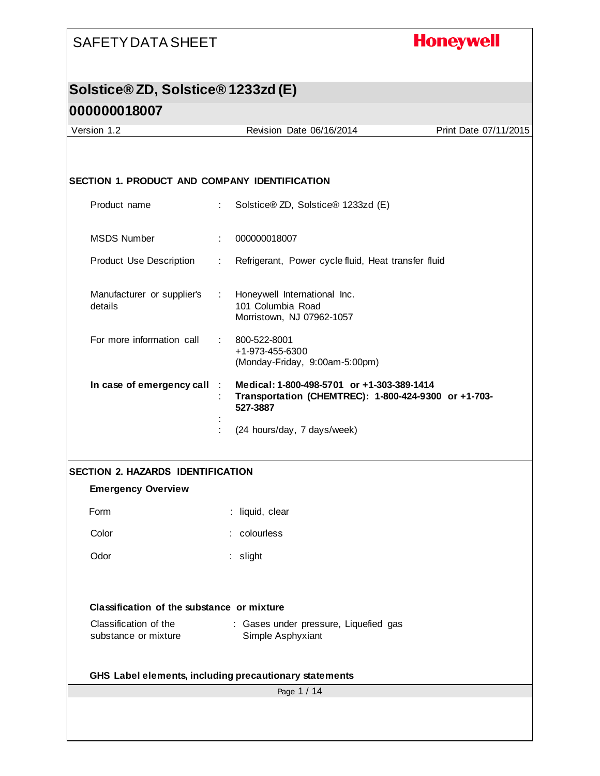## **Honeywell**

# **Solstice® ZD, Solstice® 1233zd (E)**

| Version 1.2                                   | Revision Date 06/16/2014                                                                                       | Print Date 07/11/2015 |
|-----------------------------------------------|----------------------------------------------------------------------------------------------------------------|-----------------------|
|                                               |                                                                                                                |                       |
| SECTION 1. PRODUCT AND COMPANY IDENTIFICATION |                                                                                                                |                       |
|                                               |                                                                                                                |                       |
| Product name                                  | Solstice® ZD, Solstice® 1233zd (E)<br>÷.                                                                       |                       |
| <b>MSDS Number</b>                            | 000000018007                                                                                                   |                       |
| Product Use Description                       | Refrigerant, Power cycle fluid, Heat transfer fluid<br>÷                                                       |                       |
| Manufacturer or supplier's<br>details         | Honeywell International Inc.<br>$\mathcal{L}^{\mathcal{L}}$<br>101 Columbia Road<br>Morristown, NJ 07962-1057  |                       |
| For more information call                     | 800-522-8001<br>t.<br>+1-973-455-6300<br>(Monday-Friday, 9:00am-5:00pm)                                        |                       |
| In case of emergency call                     | Medical: 1-800-498-5701 or +1-303-389-1414<br>Transportation (CHEMTREC): 1-800-424-9300 or +1-703-<br>527-3887 |                       |
|                                               | (24 hours/day, 7 days/week)                                                                                    |                       |
| <b>SECTION 2. HAZARDS IDENTIFICATION</b>      |                                                                                                                |                       |
| <b>Emergency Overview</b>                     |                                                                                                                |                       |
| Form                                          | : liquid, clear                                                                                                |                       |
| Color                                         | : colourless                                                                                                   |                       |
| Odor                                          | : slight                                                                                                       |                       |
|                                               |                                                                                                                |                       |
| Classification of the substance or mixture    |                                                                                                                |                       |
| Classification of the<br>substance or mixture | : Gases under pressure, Liquefied gas<br>Simple Asphyxiant                                                     |                       |
|                                               | GHS Label elements, including precautionary statements                                                         |                       |
|                                               | Page 1 / 14                                                                                                    |                       |
|                                               |                                                                                                                |                       |
|                                               |                                                                                                                |                       |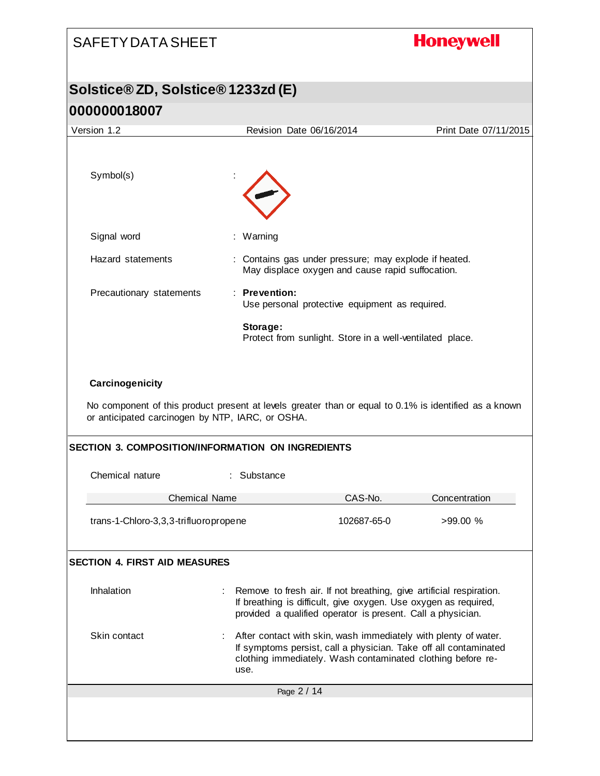# **Honeywell** SAFETY DATA SHEET **Solstice® ZD, Solstice® 1233zd (E) 000000018007** Version 1.2 Revision Date 06/16/2014 Print Date 07/11/2015 Symbol(s) Signal word : Warning Hazard statements : Contains gas under pressure; may explode if heated. May displace oxygen and cause rapid suffocation. Precautionary statements : **Prevention:**  Use personal protective equipment as required. **Storage:**  Protect from sunlight. Store in a well-ventilated place. **Carcinogenicity** No component of this product present at levels greater than or equal to 0.1% is identified as a known or anticipated carcinogen by NTP, IARC, or OSHA. **SECTION 3. COMPOSITION/INFORMATION ON INGREDIENTS** Chemical nature : Substance Chemical Name CAS-No. Concentration trans-1-Chloro-3,3,3-trifluoropropene 102687-65-0 >99.00 % **SECTION 4. FIRST AID MEASURES** Inhalation : Remove to fresh air. If not breathing, give artificial respiration. If breathing is difficult, give oxygen. Use oxygen as required, provided a qualified operator is present. Call a physician. Skin contact : After contact with skin, wash immediately with plenty of water. If symptoms persist, call a physician. Take off all contaminated clothing immediately. Wash contaminated clothing before reuse.Page 2 / 14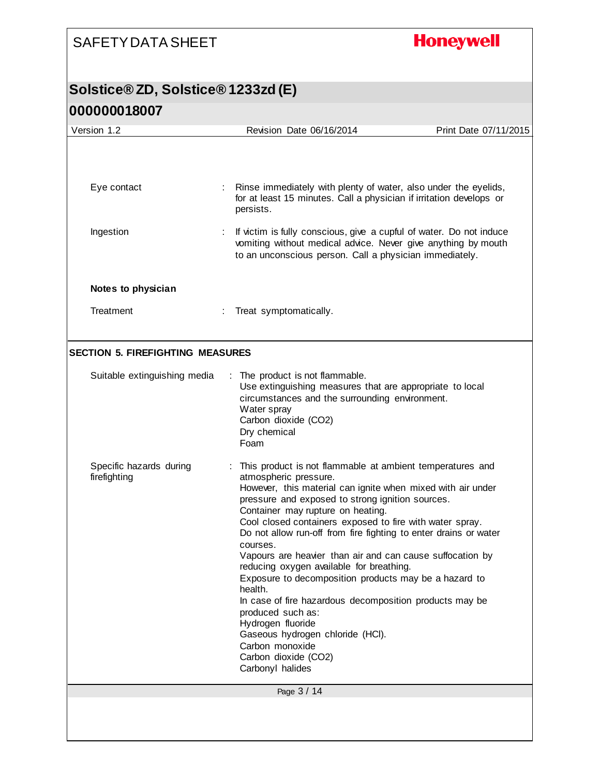**Honeywell** 

| Version 1.2                             | Revision Date 06/16/2014                                                                                                                                                                                                                                                                                                                                                                                                                                                                                                                                                                                                                                                                                                                                                    | Print Date 07/11/2015 |
|-----------------------------------------|-----------------------------------------------------------------------------------------------------------------------------------------------------------------------------------------------------------------------------------------------------------------------------------------------------------------------------------------------------------------------------------------------------------------------------------------------------------------------------------------------------------------------------------------------------------------------------------------------------------------------------------------------------------------------------------------------------------------------------------------------------------------------------|-----------------------|
|                                         |                                                                                                                                                                                                                                                                                                                                                                                                                                                                                                                                                                                                                                                                                                                                                                             |                       |
| Eye contact                             | : Rinse immediately with plenty of water, also under the eyelids,<br>for at least 15 minutes. Call a physician if irritation develops or<br>persists.                                                                                                                                                                                                                                                                                                                                                                                                                                                                                                                                                                                                                       |                       |
| Ingestion                               | If victim is fully conscious, give a cupful of water. Do not induce<br>vomiting without medical advice. Never give anything by mouth<br>to an unconscious person. Call a physician immediately.                                                                                                                                                                                                                                                                                                                                                                                                                                                                                                                                                                             |                       |
| Notes to physician                      |                                                                                                                                                                                                                                                                                                                                                                                                                                                                                                                                                                                                                                                                                                                                                                             |                       |
| Treatment                               | Treat symptomatically.                                                                                                                                                                                                                                                                                                                                                                                                                                                                                                                                                                                                                                                                                                                                                      |                       |
| <b>SECTION 5. FIREFIGHTING MEASURES</b> |                                                                                                                                                                                                                                                                                                                                                                                                                                                                                                                                                                                                                                                                                                                                                                             |                       |
| Suitable extinguishing media            | : The product is not flammable.<br>Use extinguishing measures that are appropriate to local<br>circumstances and the surrounding environment.<br>Water spray<br>Carbon dioxide (CO2)<br>Dry chemical<br>Foam                                                                                                                                                                                                                                                                                                                                                                                                                                                                                                                                                                |                       |
| Specific hazards during<br>firefighting | This product is not flammable at ambient temperatures and<br>atmospheric pressure.<br>However, this material can ignite when mixed with air under<br>pressure and exposed to strong ignition sources.<br>Container may rupture on heating.<br>Cool closed containers exposed to fire with water spray.<br>Do not allow run-off from fire fighting to enter drains or water<br>courses.<br>Vapours are heavier than air and can cause suffocation by<br>reducing oxygen available for breathing.<br>Exposure to decomposition products may be a hazard to<br>health.<br>In case of fire hazardous decomposition products may be<br>produced such as:<br>Hydrogen fluoride<br>Gaseous hydrogen chloride (HCl).<br>Carbon monoxide<br>Carbon dioxide (CO2)<br>Carbonyl halides |                       |
|                                         | Page 3 / 14                                                                                                                                                                                                                                                                                                                                                                                                                                                                                                                                                                                                                                                                                                                                                                 |                       |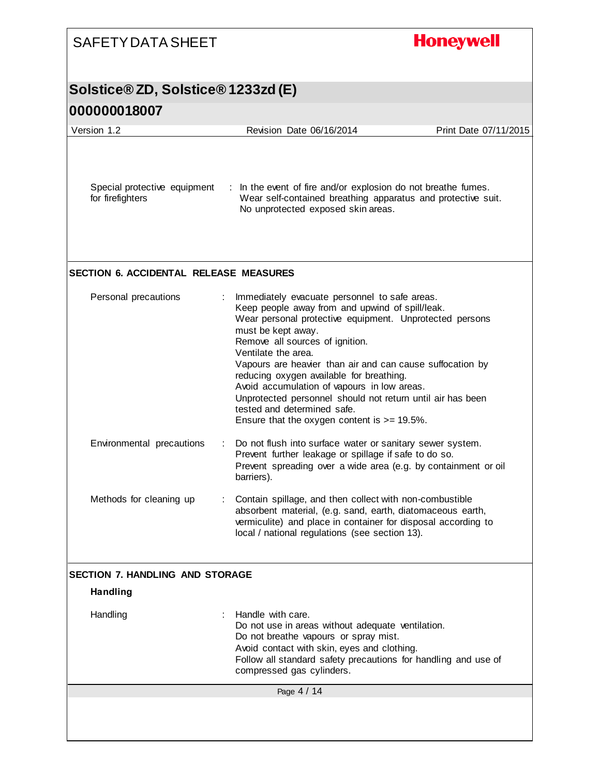| <b>SAFETY DATA SHEET</b>                         | <b>Honeywell</b>                                                                                                                                                                                                                                                                                                                                                                                                                                                                                                                                    |
|--------------------------------------------------|-----------------------------------------------------------------------------------------------------------------------------------------------------------------------------------------------------------------------------------------------------------------------------------------------------------------------------------------------------------------------------------------------------------------------------------------------------------------------------------------------------------------------------------------------------|
| <b>Solstice®ZD, Solstice®1233zd (E)</b>          |                                                                                                                                                                                                                                                                                                                                                                                                                                                                                                                                                     |
| 000000018007                                     |                                                                                                                                                                                                                                                                                                                                                                                                                                                                                                                                                     |
| Version 1.2                                      | Revision Date 06/16/2014<br>Print Date 07/11/2015                                                                                                                                                                                                                                                                                                                                                                                                                                                                                                   |
| Special protective equipment<br>for firefighters | : In the event of fire and/or explosion do not breathe fumes.<br>Wear self-contained breathing apparatus and protective suit.<br>No unprotected exposed skin areas.                                                                                                                                                                                                                                                                                                                                                                                 |
| <b>SECTION 6. ACCIDENTAL RELEASE MEASURES</b>    |                                                                                                                                                                                                                                                                                                                                                                                                                                                                                                                                                     |
| Personal precautions                             | Immediately evacuate personnel to safe areas.<br>Keep people away from and upwind of spill/leak.<br>Wear personal protective equipment. Unprotected persons<br>must be kept away.<br>Remove all sources of ignition.<br>Ventilate the area.<br>Vapours are heavier than air and can cause suffocation by<br>reducing oxygen available for breathing.<br>Avoid accumulation of vapours in low areas.<br>Unprotected personnel should not return until air has been<br>tested and determined safe.<br>Ensure that the oxygen content is $>= 19.5\%$ . |
| Environmental precautions                        | Do not flush into surface water or sanitary sewer system.<br>Prevent further leakage or spillage if safe to do so.<br>Prevent spreading over a wide area (e.g. by containment or oil<br>barriers).                                                                                                                                                                                                                                                                                                                                                  |
| Methods for cleaning up                          | Contain spillage, and then collect with non-combustible<br>absorbent material, (e.g. sand, earth, diatomaceous earth,<br>vermiculite) and place in container for disposal according to<br>local / national regulations (see section 13).                                                                                                                                                                                                                                                                                                            |
| <b>SECTION 7. HANDLING AND STORAGE</b>           |                                                                                                                                                                                                                                                                                                                                                                                                                                                                                                                                                     |
| <b>Handling</b>                                  |                                                                                                                                                                                                                                                                                                                                                                                                                                                                                                                                                     |
| Handling                                         | Handle with care.<br>Do not use in areas without adequate ventilation.<br>Do not breathe vapours or spray mist.<br>Avoid contact with skin, eyes and clothing.<br>Follow all standard safety precautions for handling and use of<br>compressed gas cylinders.                                                                                                                                                                                                                                                                                       |
|                                                  | Page 4 / 14                                                                                                                                                                                                                                                                                                                                                                                                                                                                                                                                         |
|                                                  |                                                                                                                                                                                                                                                                                                                                                                                                                                                                                                                                                     |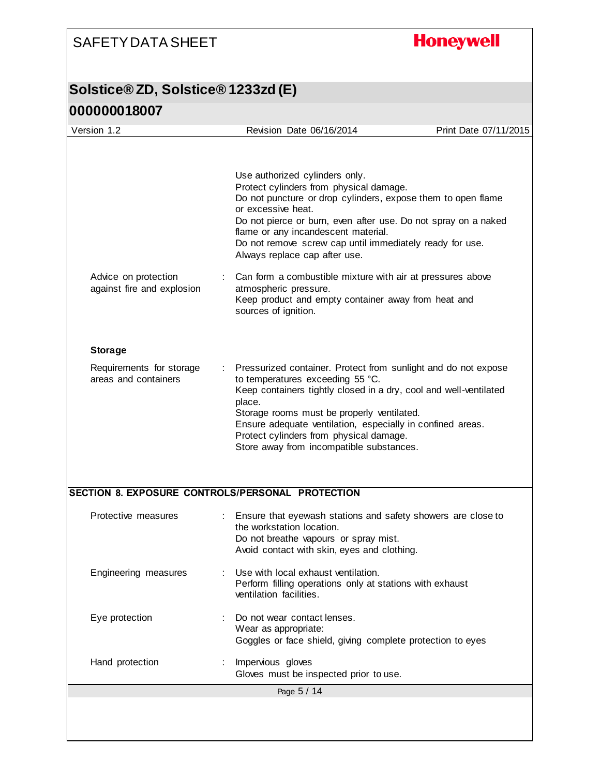## **Honeywell**

| Version 1.2                                        | Revision Date 06/16/2014                                                                                                                                                                                                                                                                                                                                                             | Print Date 07/11/2015 |
|----------------------------------------------------|--------------------------------------------------------------------------------------------------------------------------------------------------------------------------------------------------------------------------------------------------------------------------------------------------------------------------------------------------------------------------------------|-----------------------|
|                                                    |                                                                                                                                                                                                                                                                                                                                                                                      |                       |
|                                                    | Use authorized cylinders only.<br>Protect cylinders from physical damage.<br>Do not puncture or drop cylinders, expose them to open flame<br>or excessive heat.<br>Do not pierce or burn, even after use. Do not spray on a naked<br>flame or any incandescent material.<br>Do not remove screw cap until immediately ready for use.<br>Always replace cap after use.                |                       |
| Advice on protection<br>against fire and explosion | Can form a combustible mixture with air at pressures above<br>atmospheric pressure.<br>Keep product and empty container away from heat and<br>sources of ignition.                                                                                                                                                                                                                   |                       |
| <b>Storage</b>                                     |                                                                                                                                                                                                                                                                                                                                                                                      |                       |
| Requirements for storage<br>areas and containers   | Pressurized container. Protect from sunlight and do not expose<br>to temperatures exceeding 55 °C.<br>Keep containers tightly closed in a dry, cool and well-ventilated<br>place.<br>Storage rooms must be properly ventilated.<br>Ensure adequate ventilation, especially in confined areas.<br>Protect cylinders from physical damage.<br>Store away from incompatible substances. |                       |
| SECTION 8. EXPOSURE CONTROLS/PERSONAL PROTECTION   |                                                                                                                                                                                                                                                                                                                                                                                      |                       |
| Protective measures                                | : Ensure that eyewash stations and safety showers are close to<br>the workstation location.<br>Do not breathe vapours or spray mist.<br>Avoid contact with skin, eyes and clothing.                                                                                                                                                                                                  |                       |
| Engineering measures                               | Use with local exhaust ventilation.<br>Perform filling operations only at stations with exhaust<br>ventilation facilities.                                                                                                                                                                                                                                                           |                       |
| Eye protection                                     | Do not wear contact lenses.<br>Wear as appropriate:<br>Goggles or face shield, giving complete protection to eyes                                                                                                                                                                                                                                                                    |                       |
| Hand protection                                    | Impervious gloves<br>Gloves must be inspected prior to use.                                                                                                                                                                                                                                                                                                                          |                       |
|                                                    |                                                                                                                                                                                                                                                                                                                                                                                      |                       |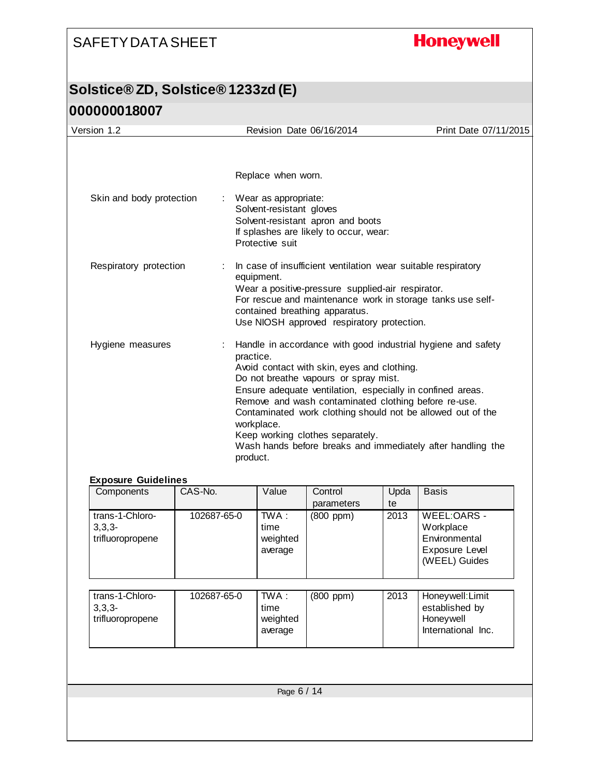## **Honeywell**

| Version 1.2                | Revision Date 06/16/2014                                                                                                                                                                                                                                                                                                                                                                                                                                                            | Print Date 07/11/2015 |
|----------------------------|-------------------------------------------------------------------------------------------------------------------------------------------------------------------------------------------------------------------------------------------------------------------------------------------------------------------------------------------------------------------------------------------------------------------------------------------------------------------------------------|-----------------------|
|                            | Replace when worn.                                                                                                                                                                                                                                                                                                                                                                                                                                                                  |                       |
| Skin and body protection   | Wear as appropriate:<br>Solvent-resistant gloves<br>Solvent-resistant apron and boots<br>If splashes are likely to occur, wear:<br>Protective suit                                                                                                                                                                                                                                                                                                                                  |                       |
| Respiratory protection     | In case of insufficient ventilation wear suitable respiratory<br>equipment.<br>Wear a positive-pressure supplied-air respirator.<br>For rescue and maintenance work in storage tanks use self-<br>contained breathing apparatus.<br>Use NIOSH approved respiratory protection.                                                                                                                                                                                                      |                       |
| Hygiene measures           | Handle in accordance with good industrial hygiene and safety<br>practice.<br>Avoid contact with skin, eyes and clothing.<br>Do not breathe vapours or spray mist.<br>Ensure adequate ventilation, especially in confined areas.<br>Remove and wash contaminated clothing before re-use.<br>Contaminated work clothing should not be allowed out of the<br>workplace.<br>Keep working clothes separately.<br>Wash hands before breaks and immediately after handling the<br>product. |                       |
| <b>Exposure Guidelines</b> |                                                                                                                                                                                                                                                                                                                                                                                                                                                                                     |                       |
| $CAC-ND$<br>Componente     | ميزاد/\<br>Llnda<br>$C$ ontrol                                                                                                                                                                                                                                                                                                                                                                                                                                                      | Rocic                 |

| Components                                      | CAS-No.     | Value                                | Control<br>parameters | Upda<br>te | <b>Basis</b>                                                                 |
|-------------------------------------------------|-------------|--------------------------------------|-----------------------|------------|------------------------------------------------------------------------------|
| trans-1-Chloro-<br>$3,3,3-$<br>trifluoropropene | 102687-65-0 | TWA :<br>time<br>weighted<br>average | (800 ppm)             | 2013       | WEEL:OARS -<br>Workplace<br>Environmental<br>Exposure Level<br>(WEEL) Guides |
| trans-1-Chloro-<br>$3,3,3-$<br>trifluoropropene | 102687-65-0 | TWA :<br>time<br>weighted<br>average | $(800$ ppm $)$        | 2013       | Honeywell: Limit<br>established by<br>Honeywell<br>International Inc.        |
|                                                 |             |                                      |                       |            |                                                                              |
|                                                 |             | Page 6 / 14                          |                       |            |                                                                              |
|                                                 |             |                                      |                       |            |                                                                              |
|                                                 |             |                                      |                       |            |                                                                              |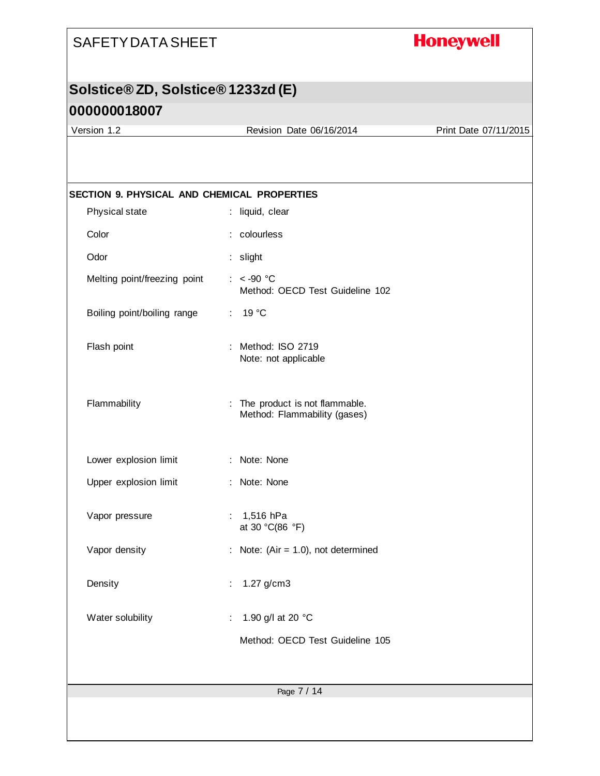## **Honeywell**

## **Solstice® ZD, Solstice® 1233zd (E)**

#### **000000018007**

Version 1.2 Revision Date 06/16/2014 Print Date 07/11/2015

| Physical state               | : liquid, clear                                                 |
|------------------------------|-----------------------------------------------------------------|
| Color                        | : colourless                                                    |
| Odor                         | : slight                                                        |
| Melting point/freezing point | $: < -90$ °C<br>Method: OECD Test Guideline 102                 |
| Boiling point/boiling range  | : $19^{\circ}$ C                                                |
| Flash point                  | : Method: ISO 2719<br>Note: not applicable                      |
| Flammability                 | : The product is not flammable.<br>Method: Flammability (gases) |
| Lower explosion limit        | : Note: None                                                    |
| Upper explosion limit        | : Note: None                                                    |
| Vapor pressure               | : $1,516$ hPa<br>at 30 °C(86 °F)                                |
| Vapor density                | : Note: (Air = $1.0$ ), not determined                          |
| Density                      | 1.27 g/cm3<br>÷                                                 |
| Water solubility             | 1.90 g/l at 20 °C                                               |
|                              | Method: OECD Test Guideline 105                                 |
|                              |                                                                 |
|                              | Page 7 / 14                                                     |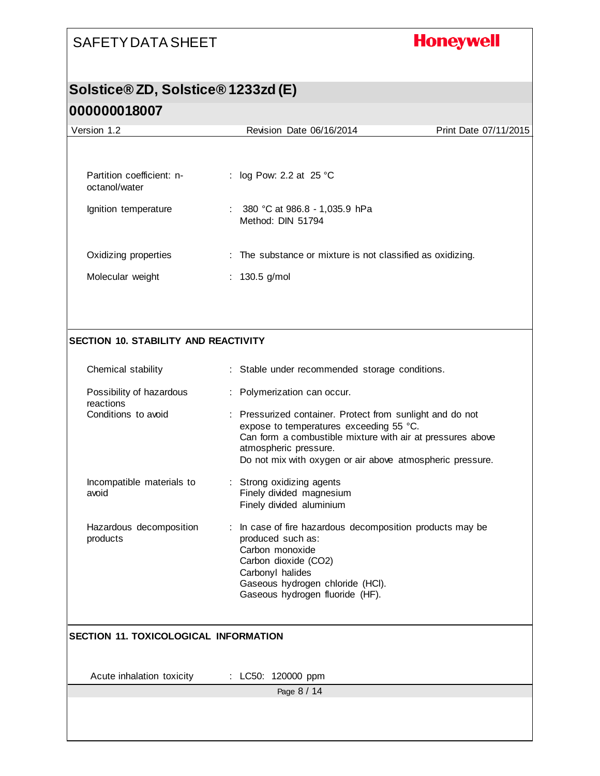## **Honeywell**

#### **Solstice® ZD, Solstice® 1233zd (E)**

| Version 1.2                                  | Revision Date 06/16/2014                                                                                                                                                                                                                                 | Print Date 07/11/2015 |
|----------------------------------------------|----------------------------------------------------------------------------------------------------------------------------------------------------------------------------------------------------------------------------------------------------------|-----------------------|
|                                              |                                                                                                                                                                                                                                                          |                       |
| Partition coefficient: n-<br>octanol/water   | log Pow: 2.2 at 25 °C<br>÷.                                                                                                                                                                                                                              |                       |
| Ignition temperature                         | : $380 °C$ at 986.8 - 1,035.9 hPa<br>Method: DIN 51794                                                                                                                                                                                                   |                       |
| Oxidizing properties                         | : The substance or mixture is not classified as oxidizing.                                                                                                                                                                                               |                       |
| Molecular weight                             | : 130.5 g/mol                                                                                                                                                                                                                                            |                       |
|                                              |                                                                                                                                                                                                                                                          |                       |
| <b>SECTION 10. STABILITY AND REACTIVITY</b>  |                                                                                                                                                                                                                                                          |                       |
| Chemical stability                           | : Stable under recommended storage conditions.                                                                                                                                                                                                           |                       |
| Possibility of hazardous<br>reactions        | : Polymerization can occur.                                                                                                                                                                                                                              |                       |
| Conditions to avoid                          | : Pressurized container. Protect from sunlight and do not<br>expose to temperatures exceeding 55 °C.<br>Can form a combustible mixture with air at pressures above<br>atmospheric pressure.<br>Do not mix with oxygen or air above atmospheric pressure. |                       |
| Incompatible materials to<br>avoid           | : Strong oxidizing agents<br>Finely divided magnesium<br>Finely divided aluminium                                                                                                                                                                        |                       |
| Hazardous decomposition<br>products          | : In case of fire hazardous decomposition products may be<br>produced such as:<br>Carbon monoxide<br>Carbon dioxide (CO2)<br>Carbonyl halides<br>Gaseous hydrogen chloride (HCl).<br>Gaseous hydrogen fluoride (HF).                                     |                       |
| <b>SECTION 11. TOXICOLOGICAL INFORMATION</b> |                                                                                                                                                                                                                                                          |                       |
| Acute inhalation toxicity                    | : LC50: 120000 ppm                                                                                                                                                                                                                                       |                       |
|                                              | Page 8 / 14                                                                                                                                                                                                                                              |                       |
|                                              |                                                                                                                                                                                                                                                          |                       |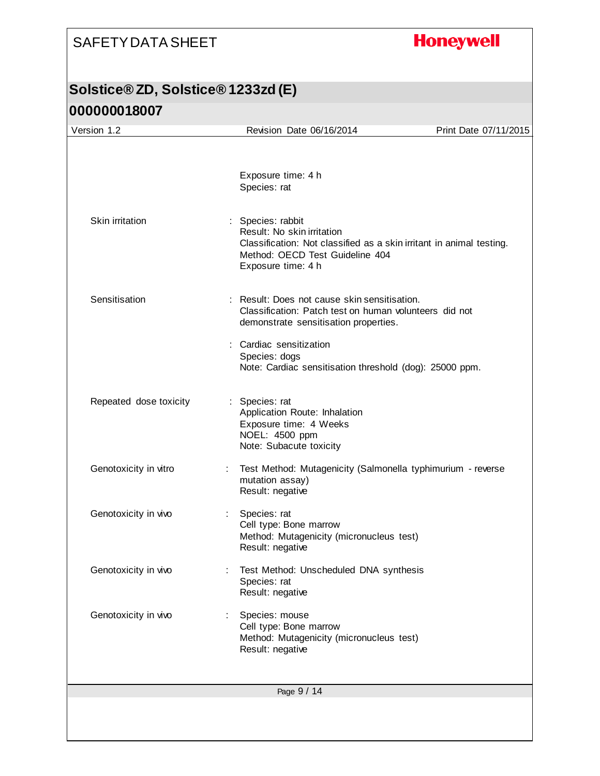## **Honeywell**

| Version 1.2            | Revision Date 06/16/2014                                                                                                                                                         | Print Date 07/11/2015 |
|------------------------|----------------------------------------------------------------------------------------------------------------------------------------------------------------------------------|-----------------------|
|                        |                                                                                                                                                                                  |                       |
|                        | Exposure time: 4 h<br>Species: rat                                                                                                                                               |                       |
| Skin irritation        | : Species: rabbit<br>Result: No skin irritation<br>Classification: Not classified as a skin irritant in animal testing.<br>Method: OECD Test Guideline 404<br>Exposure time: 4 h |                       |
| Sensitisation          | : Result: Does not cause skin sensitisation.<br>Classification: Patch test on human volunteers did not<br>demonstrate sensitisation properties.                                  |                       |
|                        | : Cardiac sensitization<br>Species: dogs<br>Note: Cardiac sensitisation threshold (dog): 25000 ppm.                                                                              |                       |
| Repeated dose toxicity | : Species: rat<br>Application Route: Inhalation<br>Exposure time: 4 Weeks<br>NOEL: 4500 ppm<br>Note: Subacute toxicity                                                           |                       |
| Genotoxicity in vitro  | Test Method: Mutagenicity (Salmonella typhimurium - reverse<br>mutation assay)<br>Result: negative                                                                               |                       |
| Genotoxicity in vivo   | Species: rat<br>t.<br>Cell type: Bone marrow<br>Method: Mutagenicity (micronucleus test)<br>Result: negative                                                                     |                       |
| Genotoxicity in vivo   | Test Method: Unscheduled DNA synthesis<br>Species: rat<br>Result: negative                                                                                                       |                       |
| Genotoxicity in vivo   | Species: mouse<br>Cell type: Bone marrow<br>Method: Mutagenicity (micronucleus test)<br>Result: negative                                                                         |                       |
|                        |                                                                                                                                                                                  |                       |
|                        | Page 9 / 14                                                                                                                                                                      |                       |
|                        |                                                                                                                                                                                  |                       |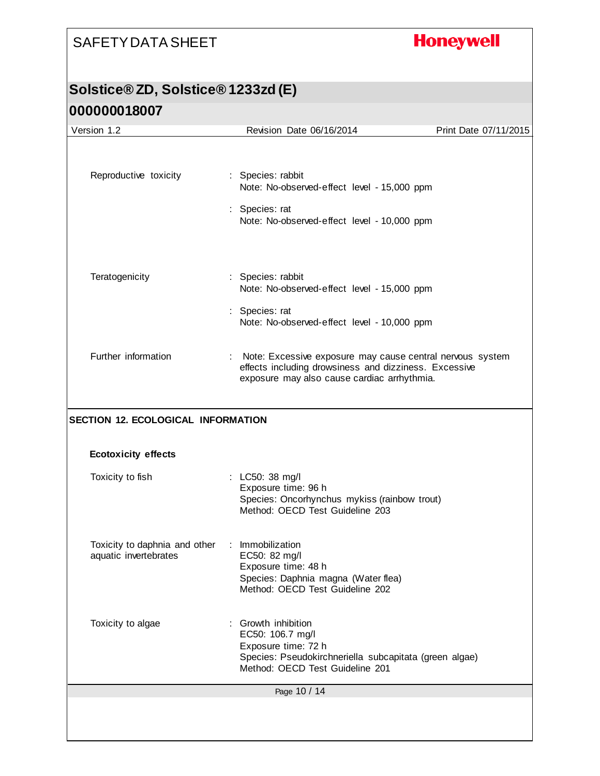## **Honeywell**

| Version 1.2                                                             | Revision Date 06/16/2014                                                                                                                                  | Print Date 07/11/2015 |
|-------------------------------------------------------------------------|-----------------------------------------------------------------------------------------------------------------------------------------------------------|-----------------------|
|                                                                         |                                                                                                                                                           |                       |
| Reproductive toxicity                                                   | : Species: rabbit<br>Note: No-observed-effect level - 15,000 ppm                                                                                          |                       |
|                                                                         | : Species: rat<br>Note: No-observed-effect level - 10,000 ppm                                                                                             |                       |
| Teratogenicity                                                          | : Species: rabbit<br>Note: No-observed-effect level - 15,000 ppm                                                                                          |                       |
|                                                                         | : Species: rat<br>Note: No-observed-effect level - 10,000 ppm                                                                                             |                       |
| Further information                                                     | : Note: Excessive exposure may cause central nervous system<br>effects including drowsiness and dizziness. Excessive                                      |                       |
|                                                                         | exposure may also cause cardiac arrhythmia.                                                                                                               |                       |
| <b>SECTION 12. ECOLOGICAL INFORMATION</b><br><b>Ecotoxicity effects</b> |                                                                                                                                                           |                       |
| Toxicity to fish                                                        | : LC50: 38 mg/l<br>Exposure time: 96 h<br>Species: Oncorhynchus mykiss (rainbow trout)<br>Method: OECD Test Guideline 203                                 |                       |
| Toxicity to daphnia and other<br>aquatic invertebrates                  | : Immobilization<br>EC50: 82 mg/l<br>Exposure time: 48 h<br>Species: Daphnia magna (Water flea)<br>Method: OECD Test Guideline 202                        |                       |
| Toxicity to algae                                                       | Growth inhibition<br>EC50: 106.7 mg/l<br>Exposure time: 72 h<br>Species: Pseudokirchneriella subcapitata (green algae)<br>Method: OECD Test Guideline 201 |                       |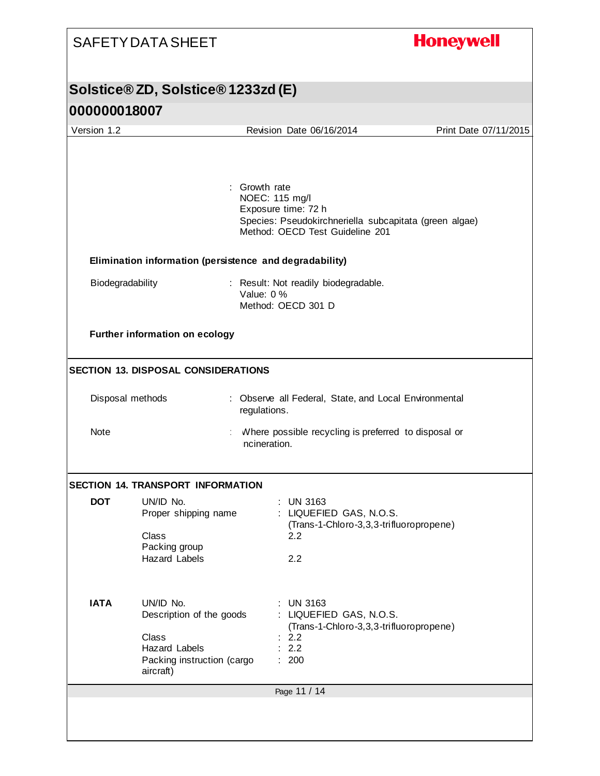## **Honeywell**

| Version 1.2<br>Revision Date 06/16/2014<br>Growth rate<br>NOEC: 115 mg/l<br>Exposure time: 72 h<br>Species: Pseudokirchneriella subcapitata (green algae)<br>Method: OECD Test Guideline 201<br>Elimination information (persistence and degradability)<br>Biodegradability<br>: Result: Not readily biodegradable.<br>Value: 0 %<br>Method: OECD 301 D<br>Further information on ecology<br><b>SECTION 13. DISPOSAL CONSIDERATIONS</b><br>Disposal methods<br>: Observe all Federal, State, and Local Environmental<br>regulations.<br>Note<br>Where possible recycling is preferred to disposal or<br>incineration.<br><b>SECTION 14. TRANSPORT INFORMATION</b><br><b>DOT</b><br>UN/ID No.<br>$:$ UN 3163<br>: LIQUEFIED GAS, N.O.S.<br>Proper shipping name<br>(Trans-1-Chloro-3,3,3-trifluoropropene)<br>Class<br>2.2<br>Packing group<br><b>Hazard Labels</b><br>2.2<br><b>IATA</b><br>UN/ID No.<br><b>UN 3163</b><br>Description of the goods<br>: LIQUEFIED GAS, N.O.S.<br>(Trans-1-Chloro-3,3,3-trifluoropropene)<br>Class<br>: 2.2<br>2.2<br><b>Hazard Labels</b><br>Packing instruction (cargo<br>200<br>÷.<br>aircraft) |                       |
|------------------------------------------------------------------------------------------------------------------------------------------------------------------------------------------------------------------------------------------------------------------------------------------------------------------------------------------------------------------------------------------------------------------------------------------------------------------------------------------------------------------------------------------------------------------------------------------------------------------------------------------------------------------------------------------------------------------------------------------------------------------------------------------------------------------------------------------------------------------------------------------------------------------------------------------------------------------------------------------------------------------------------------------------------------------------------------------------------------------------------------|-----------------------|
|                                                                                                                                                                                                                                                                                                                                                                                                                                                                                                                                                                                                                                                                                                                                                                                                                                                                                                                                                                                                                                                                                                                                    | Print Date 07/11/2015 |
|                                                                                                                                                                                                                                                                                                                                                                                                                                                                                                                                                                                                                                                                                                                                                                                                                                                                                                                                                                                                                                                                                                                                    |                       |
|                                                                                                                                                                                                                                                                                                                                                                                                                                                                                                                                                                                                                                                                                                                                                                                                                                                                                                                                                                                                                                                                                                                                    |                       |
|                                                                                                                                                                                                                                                                                                                                                                                                                                                                                                                                                                                                                                                                                                                                                                                                                                                                                                                                                                                                                                                                                                                                    |                       |
|                                                                                                                                                                                                                                                                                                                                                                                                                                                                                                                                                                                                                                                                                                                                                                                                                                                                                                                                                                                                                                                                                                                                    |                       |
|                                                                                                                                                                                                                                                                                                                                                                                                                                                                                                                                                                                                                                                                                                                                                                                                                                                                                                                                                                                                                                                                                                                                    |                       |
|                                                                                                                                                                                                                                                                                                                                                                                                                                                                                                                                                                                                                                                                                                                                                                                                                                                                                                                                                                                                                                                                                                                                    |                       |
|                                                                                                                                                                                                                                                                                                                                                                                                                                                                                                                                                                                                                                                                                                                                                                                                                                                                                                                                                                                                                                                                                                                                    |                       |
|                                                                                                                                                                                                                                                                                                                                                                                                                                                                                                                                                                                                                                                                                                                                                                                                                                                                                                                                                                                                                                                                                                                                    |                       |
|                                                                                                                                                                                                                                                                                                                                                                                                                                                                                                                                                                                                                                                                                                                                                                                                                                                                                                                                                                                                                                                                                                                                    |                       |
|                                                                                                                                                                                                                                                                                                                                                                                                                                                                                                                                                                                                                                                                                                                                                                                                                                                                                                                                                                                                                                                                                                                                    |                       |
|                                                                                                                                                                                                                                                                                                                                                                                                                                                                                                                                                                                                                                                                                                                                                                                                                                                                                                                                                                                                                                                                                                                                    |                       |
|                                                                                                                                                                                                                                                                                                                                                                                                                                                                                                                                                                                                                                                                                                                                                                                                                                                                                                                                                                                                                                                                                                                                    |                       |
|                                                                                                                                                                                                                                                                                                                                                                                                                                                                                                                                                                                                                                                                                                                                                                                                                                                                                                                                                                                                                                                                                                                                    |                       |
|                                                                                                                                                                                                                                                                                                                                                                                                                                                                                                                                                                                                                                                                                                                                                                                                                                                                                                                                                                                                                                                                                                                                    |                       |
| Page 11 / 14                                                                                                                                                                                                                                                                                                                                                                                                                                                                                                                                                                                                                                                                                                                                                                                                                                                                                                                                                                                                                                                                                                                       |                       |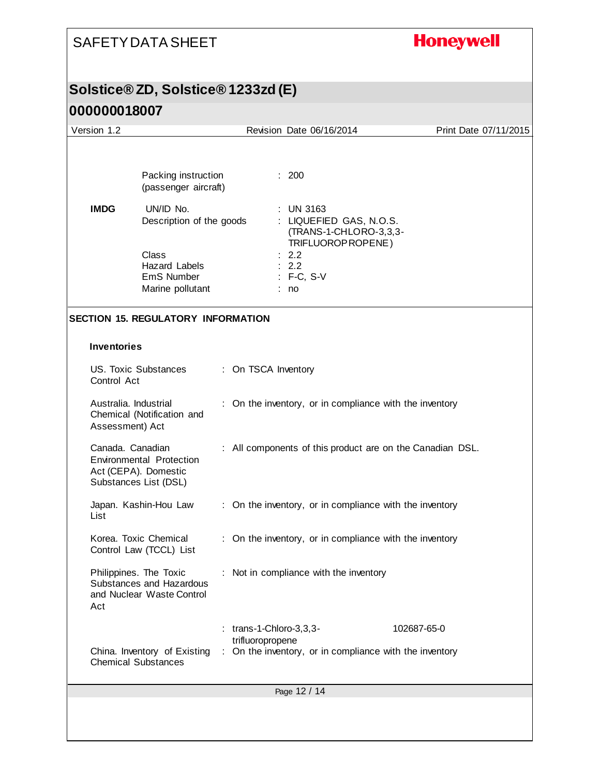## **Honeywell**

#### **Solstice® ZD, Solstice® 1233zd (E)**

| Version 1.2 |                                                                                                      |                     |                  | Revision Date 06/16/2014                                                                  | Print Date 07/11/2015                                     |
|-------------|------------------------------------------------------------------------------------------------------|---------------------|------------------|-------------------------------------------------------------------------------------------|-----------------------------------------------------------|
|             | Packing instruction<br>(passenger aircraft)                                                          |                     |                  | : 200                                                                                     |                                                           |
| <b>IMDG</b> | UN/ID No.<br>Description of the goods                                                                |                     |                  | <b>UN 3163</b><br>: LIQUEFIED GAS, N.O.S.<br>(TRANS-1-CHLORO-3,3,3-<br>TRIFLUOROP ROPENE) |                                                           |
|             | Class<br><b>Hazard Labels</b><br>EmS Number<br>Marine pollutant                                      |                     |                  | 2.2<br>2.2<br>: F-C, S-V<br>: no                                                          |                                                           |
|             | <b>SECTION 15. REGULATORY INFORMATION</b>                                                            |                     |                  |                                                                                           |                                                           |
|             | <b>Inventories</b>                                                                                   |                     |                  |                                                                                           |                                                           |
|             | <b>US. Toxic Substances</b><br>Control Act                                                           | : On TSCA Inventory |                  |                                                                                           |                                                           |
|             | Australia. Industrial<br>Chemical (Notification and<br>Assessment) Act                               |                     |                  | On the inventory, or in compliance with the inventory                                     |                                                           |
|             | Canada. Canadian<br><b>Environmental Protection</b><br>Act (CEPA). Domestic<br>Substances List (DSL) |                     |                  |                                                                                           | : All components of this product are on the Canadian DSL. |
| List        | Japan. Kashin-Hou Law                                                                                |                     |                  | : On the inventory, or in compliance with the inventory                                   |                                                           |
|             | Korea. Toxic Chemical<br>Control Law (TCCL) List                                                     |                     |                  | : On the inventory, or in compliance with the inventory                                   |                                                           |
| Act         | Philippines. The Toxic<br>Substances and Hazardous<br>and Nuclear Waste Control                      |                     |                  | : Not in compliance with the inventory                                                    |                                                           |
|             |                                                                                                      |                     |                  | $:$ trans-1-Chloro-3,3,3-                                                                 | 102687-65-0                                               |
|             | China. Inventory of Existing<br><b>Chemical Substances</b>                                           |                     | trifluoropropene | : On the inventory, or in compliance with the inventory                                   |                                                           |
|             |                                                                                                      |                     |                  | Page 12 / 14                                                                              |                                                           |
|             |                                                                                                      |                     |                  |                                                                                           |                                                           |
|             |                                                                                                      |                     |                  |                                                                                           |                                                           |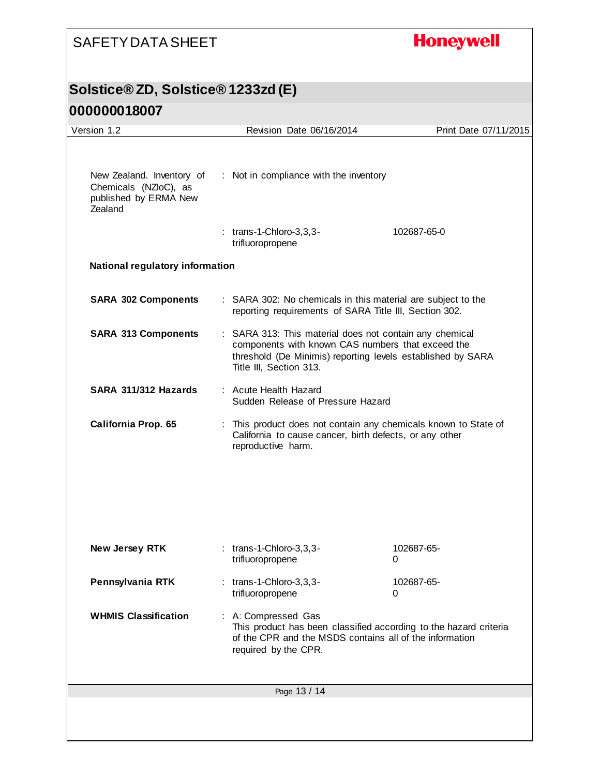## **Honeywell**

#### **Solstice® ZD, Solstice® 1233zd (E)**

| Version 1.2                                                                            |                  | Revision Date 06/16/2014                                                                                                                                                                               | Print Date 07/11/2015                                                                                                      |  |
|----------------------------------------------------------------------------------------|------------------|--------------------------------------------------------------------------------------------------------------------------------------------------------------------------------------------------------|----------------------------------------------------------------------------------------------------------------------------|--|
| New Zealand. Inventory of<br>Chemicals (NZloC), as<br>published by ERMA New<br>Zealand |                  | : Not in compliance with the inventory<br>$:$ trans-1-Chloro-3,3,3-<br>102687-65-0                                                                                                                     |                                                                                                                            |  |
|                                                                                        | trifluoropropene |                                                                                                                                                                                                        |                                                                                                                            |  |
| <b>National regulatory information</b>                                                 |                  |                                                                                                                                                                                                        |                                                                                                                            |  |
| <b>SARA 302 Components</b>                                                             |                  | : SARA 302: No chemicals in this material are subject to the<br>reporting requirements of SARA Title III, Section 302.                                                                                 |                                                                                                                            |  |
| <b>SARA 313 Components</b>                                                             |                  | : SARA 313: This material does not contain any chemical<br>components with known CAS numbers that exceed the<br>threshold (De Minimis) reporting levels established by SARA<br>Title III, Section 313. |                                                                                                                            |  |
| SARA 311/312 Hazards                                                                   |                  | : Acute Health Hazard<br>Sudden Release of Pressure Hazard                                                                                                                                             |                                                                                                                            |  |
| California Prop. 65                                                                    |                  | reproductive harm.                                                                                                                                                                                     | : This product does not contain any chemicals known to State of<br>California to cause cancer, birth defects, or any other |  |
| New Jersey RTK                                                                         | trifluoropropene | $:$ trans-1-Chloro-3,3,3-                                                                                                                                                                              | 102687-65-<br>0                                                                                                            |  |
| Pennsylvania RTK                                                                       | trifluoropropene | $:$ trans-1-Chloro-3,3,3-                                                                                                                                                                              | 102687-65-<br>0                                                                                                            |  |
| <b>WHMIS Classification</b>                                                            |                  | : A: Compressed Gas<br>This product has been classified according to the hazard criteria<br>of the CPR and the MSDS contains all of the information<br>required by the CPR.                            |                                                                                                                            |  |
|                                                                                        |                  | Page 13 / 14                                                                                                                                                                                           |                                                                                                                            |  |
|                                                                                        |                  |                                                                                                                                                                                                        |                                                                                                                            |  |